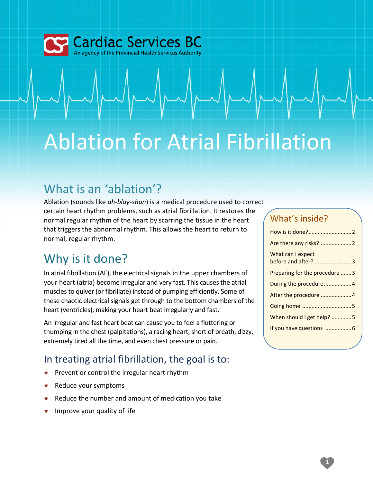

# Ablation for Atrial Fibrillation

# What is an 'ablation'?

Ablation (sounds like *ah-blay-shun*) is a medical procedure used to correct certain heart rhythm problems, such as atrial fibrillation. It restores the normal regular rhythm of the heart by scarring the tissue in the heart that triggers the abnormal rhythm. This allows the heart to return to normal, regular rhythm.

# Why is it done?

In atrial fibrillation (AF), the electrical signals in the upper chambers of your heart (atria) become irregular and very fast. This causes the atrial muscles to quiver (or fibrillate) instead of pumping efficiently. Some of these chaotic electrical signals get through to the bottom chambers of the heart (ventricles), making your heart beat irregularly and fast.

An irregular and fast heart beat can cause you to feel a fluttering or thumping in the chest (palpitations), a racing heart, short of breath, dizzy, extremely tired all the time, and even chest pressure or pain.

#### In treating atrial fibrillation, the goal is to:

- **Prevent or control the irregular heart rhythm**
- Reduce your symptoms
- Reduce the number and amount of medication you take
- Improve your quality of life

### What's inside?

| What can I expect<br>before and after? 3 |
|------------------------------------------|
| Preparing for the procedure 3            |
| During the procedure4                    |
| After the procedure 4                    |
|                                          |
| When should I get help? 5                |
|                                          |
|                                          |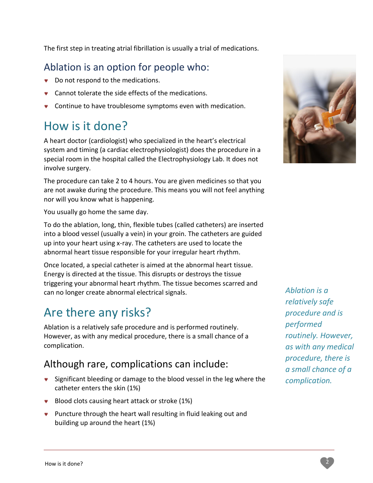The first step in treating atrial fibrillation is usually a trial of medications.

#### Ablation is an option for people who:

- Do not respond to the medications.
- **v** Cannot tolerate the side effects of the medications.
- Continue to have troublesome symptoms even with medication.

# How is it done?

A heart doctor (cardiologist) who specialized in the heart's electrical system and timing (a cardiac electrophysiologist) does the procedure in a special room in the hospital called the Electrophysiology Lab. It does not involve surgery.

The procedure can take 2 to 4 hours. You are given medicines so that you are not awake during the procedure. This means you will not feel anything nor will you know what is happening.

You usually go home the same day.

To do the ablation, long, thin, flexible tubes (called catheters) are inserted into a blood vessel (usually a vein) in your groin. The catheters are guided up into your heart using x-ray. The catheters are used to locate the abnormal heart tissue responsible for your irregular heart rhythm.

Once located, a special catheter is aimed at the abnormal heart tissue. Energy is directed at the tissue. This disrupts or destroys the tissue triggering your abnormal heart rhythm. The tissue becomes scarred and can no longer create abnormal electrical signals.

# Are there any risks?

Ablation is a relatively safe procedure and is performed routinely. However, as with any medical procedure, there is a small chance of a complication.

#### Although rare, complications can include:

- **v** Significant bleeding or damage to the blood vessel in the leg where the catheter enters the skin (1%)
- Blood clots causing heart attack or stroke (1%)
- **•** Puncture through the heart wall resulting in fluid leaking out and building up around the heart (1%)



*Ablation is a relatively safe procedure and is performed routinely. However, as with any medical procedure, there is a small chance of a complication.*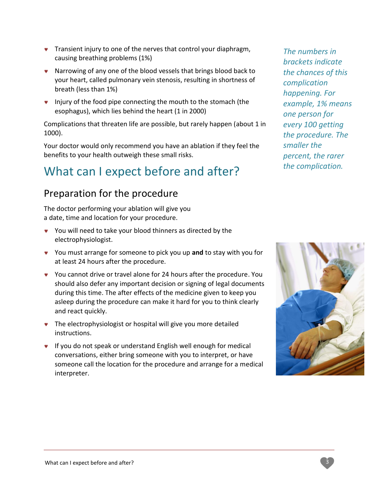- **v** Transient injury to one of the nerves that control your diaphragm, causing breathing problems (1%)
- **v** Narrowing of any one of the blood vessels that brings blood back to your heart, called pulmonary vein stenosis, resulting in shortness of breath (less than 1%)
- **v** Injury of the food pipe connecting the mouth to the stomach (the esophagus), which lies behind the heart (1 in 2000)

Complications that threaten life are possible, but rarely happen (about 1 in 1000).

Your doctor would only recommend you have an ablation if they feel the benefits to your health outweigh these small risks.

# What can I expect before and after?

#### Preparation for the procedure

The doctor performing your ablation will give you a date, time and location for your procedure.

- You will need to take your blood thinners as directed by the electrophysiologist.
- You must arrange for someone to pick you up **and** to stay with you for at least 24 hours after the procedure.
- You cannot drive or travel alone for 24 hours after the procedure. You should also defer any important decision or signing of legal documents during this time. The after effects of the medicine given to keep you asleep during the procedure can make it hard for you to think clearly and react quickly.
- **•** The electrophysiologist or hospital will give you more detailed instructions.
- **v** If you do not speak or understand English well enough for medical conversations, either bring someone with you to interpret, or have someone call the location for the procedure and arrange for a medical interpreter.

*The numbers in brackets indicate the chances of this complication happening. For example, 1% means one person for every 100 getting the procedure. The smaller the percent, the rarer the complication.* 

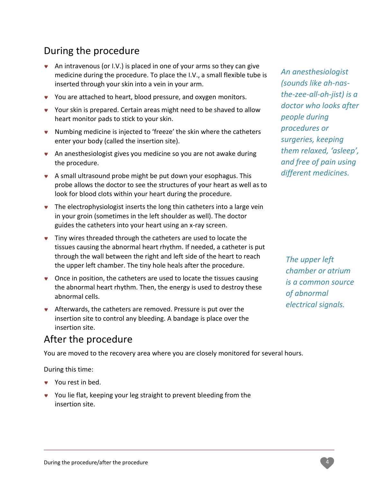#### During the procedure

- An intravenous (or I.V.) is placed in one of your arms so they can give medicine during the procedure. To place the I.V., a small flexible tube is inserted through your skin into a vein in your arm.
- You are attached to heart, blood pressure, and oxygen monitors.
- Your skin is prepared. Certain areas might need to be shaved to allow heart monitor pads to stick to your skin.
- Numbing medicine is injected to 'freeze' the skin where the catheters enter your body (called the insertion site).
- An anesthesiologist gives you medicine so you are not awake during the procedure.
- A small ultrasound probe might be put down your esophagus. This probe allows the doctor to see the structures of your heart as well as to look for blood clots within your heart during the procedure.
- The electrophysiologist inserts the long thin catheters into a large vein in your groin (sometimes in the left shoulder as well). The doctor guides the catheters into your heart using an x-ray screen.
- **v** Tiny wires threaded through the catheters are used to locate the tissues causing the abnormal heart rhythm. If needed, a catheter is put through the wall between the right and left side of the heart to reach the upper left chamber. The tiny hole heals after the procedure.
- Once in position, the catheters are used to locate the tissues causing the abnormal heart rhythm. Then, the energy is used to destroy these abnormal cells.
- Afterwards, the catheters are removed. Pressure is put over the insertion site to control any bleeding. A bandage is place over the insertion site.

#### After the procedure

You are moved to the recovery area where you are closely monitored for several hours.

During this time:

- **v** You rest in bed.
- You lie flat, keeping your leg straight to prevent bleeding from the insertion site.

*An anesthesiologist (sounds like ah-nasthe-zee-all-oh-jist) is a doctor who looks after people during procedures or surgeries, keeping them relaxed, 'asleep', and free of pain using different medicines.*

*The upper left chamber or atrium is a common source of abnormal electrical signals.*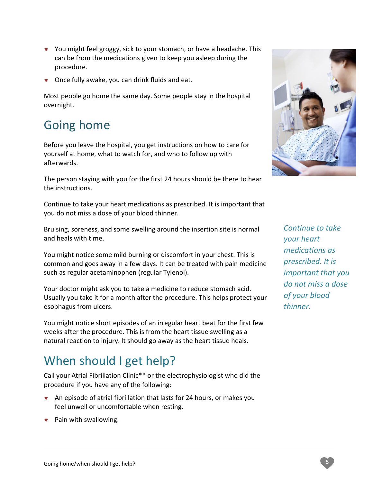- You might feel groggy, sick to your stomach, or have a headache. This can be from the medications given to keep you asleep during the procedure.
- **v** Once fully awake, you can drink fluids and eat.

Most people go home the same day. Some people stay in the hospital overnight.

# Going home

Before you leave the hospital, you get instructions on how to care for yourself at home, what to watch for, and who to follow up with afterwards.

The person staying with you for the first 24 hours should be there to hear the instructions.

Continue to take your heart medications as prescribed. It is important that you do not miss a dose of your blood thinner.

Bruising, soreness, and some swelling around the insertion site is normal and heals with time.

You might notice some mild burning or discomfort in your chest. This is common and goes away in a few days. It can be treated with pain medicine such as regular acetaminophen (regular Tylenol).

Your doctor might ask you to take a medicine to reduce stomach acid. Usually you take it for a month after the procedure. This helps protect your esophagus from ulcers.

You might notice short episodes of an irregular heart beat for the first few weeks after the procedure. This is from the heart tissue swelling as a natural reaction to injury. It should go away as the heart tissue heals.

# When should I get help?

Call your Atrial Fibrillation Clinic\*\* or the electrophysiologist who did the procedure if you have any of the following:

- An episode of atrial fibrillation that lasts for 24 hours, or makes you feel unwell or uncomfortable when resting.
- Pain with swallowing.



*Continue to take your heart medications as prescribed. It is important that you do not miss a dose of your blood thinner.*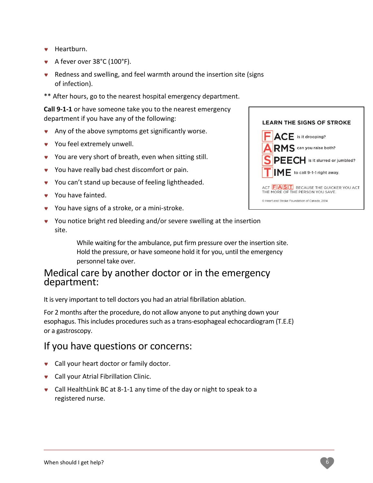- **v** Heartburn.
- A fever over 38°C (100°F).
- Redness and swelling, and feel warmth around the insertion site (signs of infection).
- \*\* After hours, go to the nearest hospital emergency department.

**Call 9-1-1** or have someone take you to the nearest emergency department if you have any of the following:

- Any of the above symptoms get significantly worse.
- **v** You feel extremely unwell.
- You are very short of breath, even when sitting still.
- You have really bad chest discomfort or pain.
- You can't stand up because of feeling lightheaded.
- You have fainted.
- You have signs of a stroke, or a mini-stroke.
- You notice bright red bleeding and/or severe swelling at the insertion site.

While waiting for the ambulance, put firm pressure over the insertion site. Hold the pressure, or have someone hold it for you, until the emergency personnel take over.

#### Medical care by another doctor or in the emergency department:

It is very important to tell doctors you had an atrial fibrillation ablation.

For 2 months after the procedure, do not allow anyone to put anything down your esophagus. This includes procedures such as a trans-esophageal echocardiogram (T.E.E) or a gastroscopy.

#### If you have questions or concerns:

- **v** Call your heart doctor or family doctor.
- **v** Call your Atrial Fibrillation Clinic.
- Call HealthLink BC at 8-1-1 any time of the day or night to speak to a registered nurse.

| <b>LEARN THE SIGNS OF STROKE</b>                                                |
|---------------------------------------------------------------------------------|
| <b>FACE</b> is it drooping?                                                     |
| ARMS can you raise both?                                                        |
| SPEECH is it slurred or jumbled?                                                |
| $\mathsf{IME}$ to call 9-1-1 right away.                                        |
| ACT <b>FAST</b> BECAUSE THE QUICKER YOU ACT<br>THE MORE OF THE PERSON YOU SAVE. |
| C Heart and Stroke Foundation of Canada, 2014                                   |
|                                                                                 |